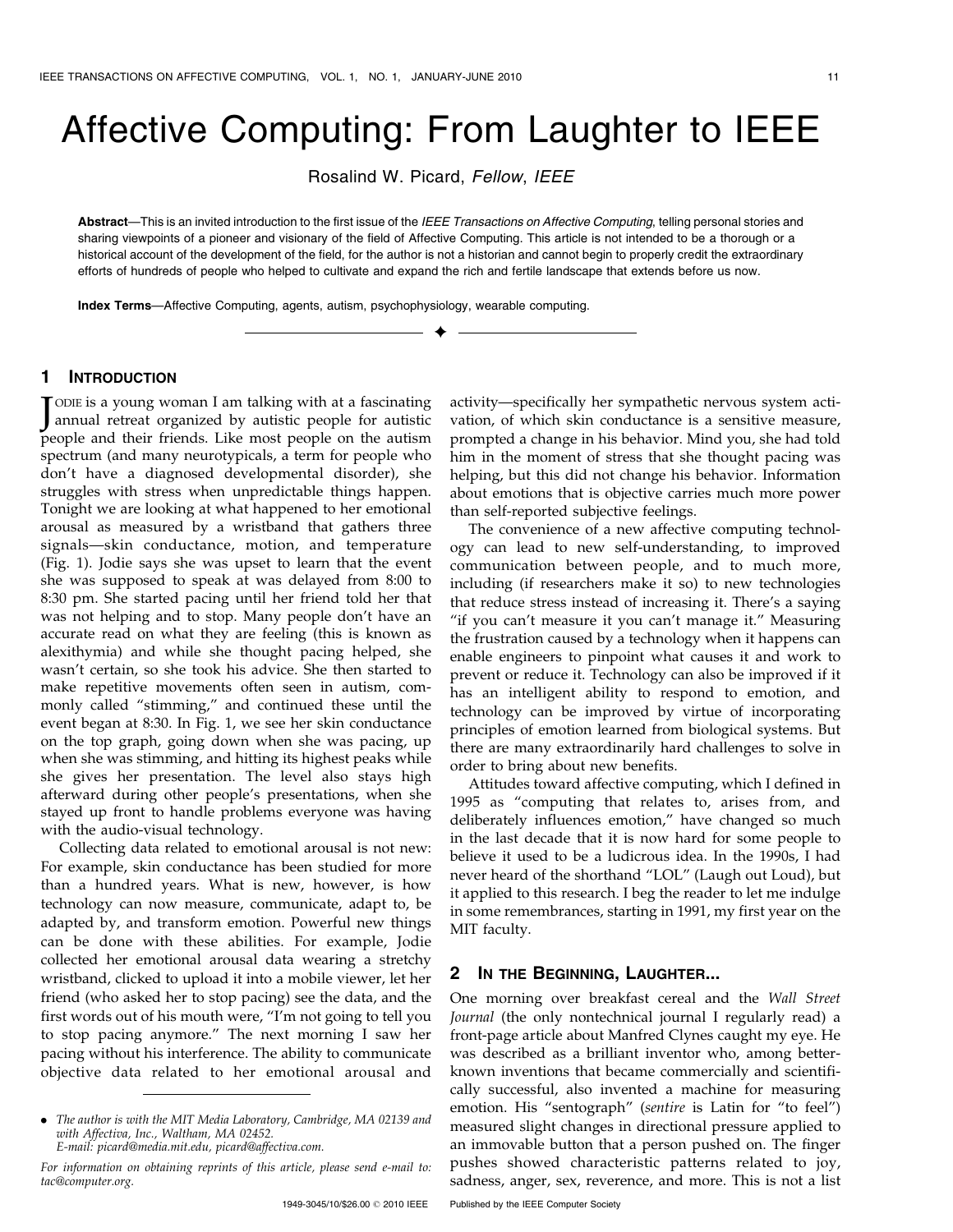# Affective Computing: From Laughter to IEEE

Rosalind W. Picard, Fellow, IEEE

Abstract—This is an invited introduction to the first issue of the IEEE Transactions on Affective Computing, telling personal stories and sharing viewpoints of a pioneer and visionary of the field of Affective Computing. This article is not intended to be a thorough or a historical account of the development of the field, for the author is not a historian and cannot begin to properly credit the extraordinary efforts of hundreds of people who helped to cultivate and expand the rich and fertile landscape that extends before us now.

 $\ddotmark$ 

Index Terms—Affective Computing, agents, autism, psychophysiology, wearable computing.

# 1 INTRODUCTION

JODIE is a young woman I am talking with at a fascinating<br>annual retreat organized by autistic people for autistic TODIE is a young woman I am talking with at a fascinating people and their friends. Like most people on the autism spectrum (and many neurotypicals, a term for people who don't have a diagnosed developmental disorder), she struggles with stress when unpredictable things happen. Tonight we are looking at what happened to her emotional arousal as measured by a wristband that gathers three signals—skin conductance, motion, and temperature (Fig. 1). Jodie says she was upset to learn that the event she was supposed to speak at was delayed from 8:00 to 8:30 pm. She started pacing until her friend told her that was not helping and to stop. Many people don't have an accurate read on what they are feeling (this is known as alexithymia) and while she thought pacing helped, she wasn't certain, so she took his advice. She then started to make repetitive movements often seen in autism, commonly called "stimming," and continued these until the event began at 8:30. In Fig. 1, we see her skin conductance on the top graph, going down when she was pacing, up when she was stimming, and hitting its highest peaks while she gives her presentation. The level also stays high afterward during other people's presentations, when she stayed up front to handle problems everyone was having with the audio-visual technology.

Collecting data related to emotional arousal is not new: For example, skin conductance has been studied for more than a hundred years. What is new, however, is how technology can now measure, communicate, adapt to, be adapted by, and transform emotion. Powerful new things can be done with these abilities. For example, Jodie collected her emotional arousal data wearing a stretchy wristband, clicked to upload it into a mobile viewer, let her friend (who asked her to stop pacing) see the data, and the first words out of his mouth were, "I'm not going to tell you to stop pacing anymore." The next morning I saw her pacing without his interference. The ability to communicate objective data related to her emotional arousal and

activity—specifically her sympathetic nervous system activation, of which skin conductance is a sensitive measure, prompted a change in his behavior. Mind you, she had told him in the moment of stress that she thought pacing was helping, but this did not change his behavior. Information about emotions that is objective carries much more power than self-reported subjective feelings.

The convenience of a new affective computing technology can lead to new self-understanding, to improved communication between people, and to much more, including (if researchers make it so) to new technologies that reduce stress instead of increasing it. There's a saying "if you can't measure it you can't manage it." Measuring the frustration caused by a technology when it happens can enable engineers to pinpoint what causes it and work to prevent or reduce it. Technology can also be improved if it has an intelligent ability to respond to emotion, and technology can be improved by virtue of incorporating principles of emotion learned from biological systems. But there are many extraordinarily hard challenges to solve in order to bring about new benefits.

Attitudes toward affective computing, which I defined in 1995 as "computing that relates to, arises from, and deliberately influences emotion," have changed so much in the last decade that it is now hard for some people to believe it used to be a ludicrous idea. In the 1990s, I had never heard of the shorthand "LOL" (Laugh out Loud), but it applied to this research. I beg the reader to let me indulge in some remembrances, starting in 1991, my first year on the MIT faculty.

### 2 IN THE BEGINNING, LAUGHTER...

One morning over breakfast cereal and the Wall Street Journal (the only nontechnical journal I regularly read) a front-page article about Manfred Clynes caught my eye. He was described as a brilliant inventor who, among betterknown inventions that became commercially and scientifically successful, also invented a machine for measuring emotion. His "sentograph" (sentire is Latin for "to feel") measured slight changes in directional pressure applied to an immovable button that a person pushed on. The finger pushes showed characteristic patterns related to joy, sadness, anger, sex, reverence, and more. This is not a list

<sup>.</sup> The author is with the MIT Media Laboratory, Cambridge, MA 02139 and with Affectiva, Inc., Waltham, MA 02452.

E-mail: picard@media.mit.edu, picard@affectiva.com.

For information on obtaining reprints of this article, please send e-mail to: tac@computer.org.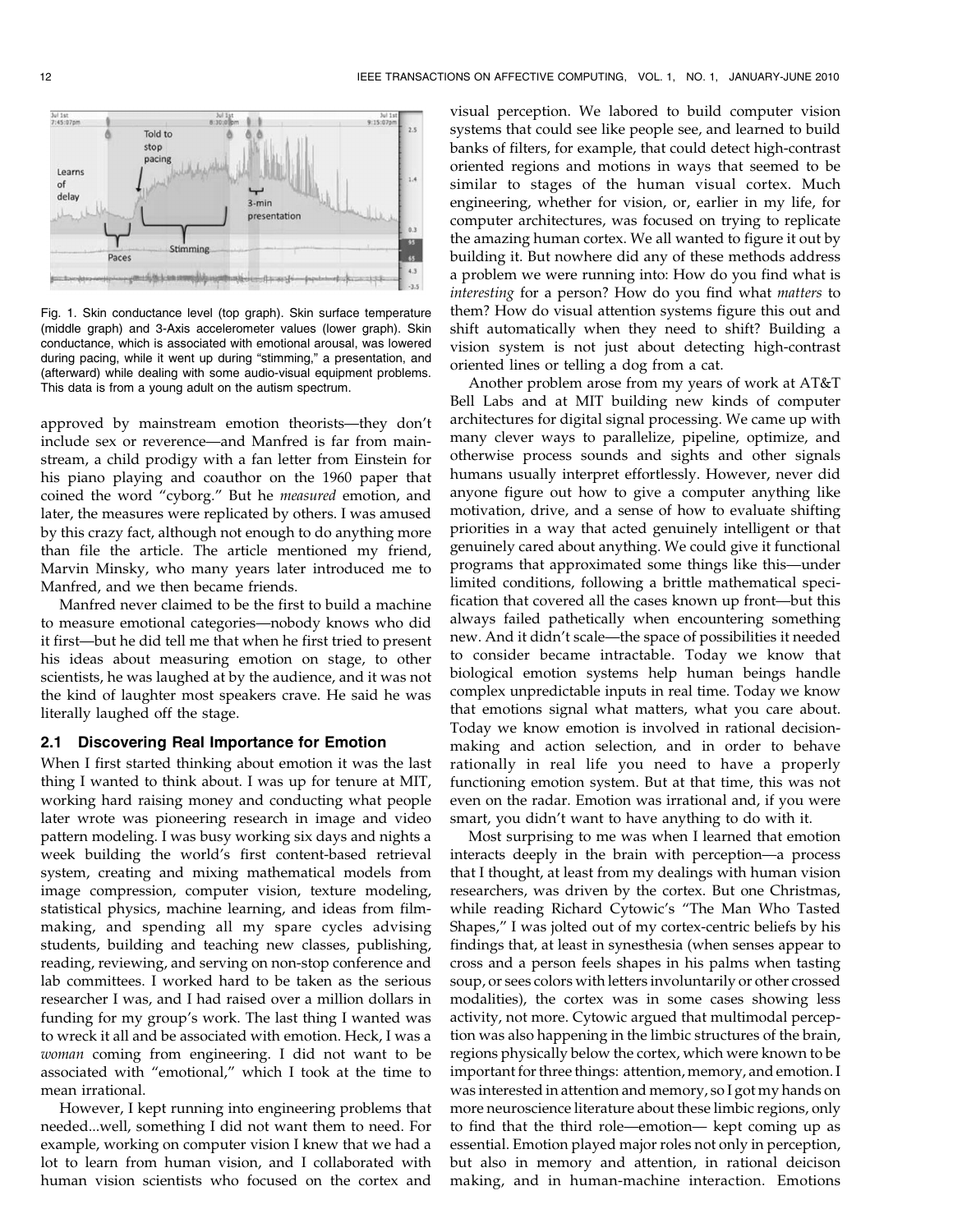

Fig. 1. Skin conductance level (top graph). Skin surface temperature (middle graph) and 3-Axis accelerometer values (lower graph). Skin conductance, which is associated with emotional arousal, was lowered during pacing, while it went up during "stimming," a presentation, and (afterward) while dealing with some audio-visual equipment problems. This data is from a young adult on the autism spectrum.

approved by mainstream emotion theorists—they don't include sex or reverence—and Manfred is far from mainstream, a child prodigy with a fan letter from Einstein for his piano playing and coauthor on the 1960 paper that coined the word "cyborg." But he measured emotion, and later, the measures were replicated by others. I was amused by this crazy fact, although not enough to do anything more than file the article. The article mentioned my friend, Marvin Minsky, who many years later introduced me to Manfred, and we then became friends.

Manfred never claimed to be the first to build a machine to measure emotional categories—nobody knows who did it first—but he did tell me that when he first tried to present his ideas about measuring emotion on stage, to other scientists, he was laughed at by the audience, and it was not the kind of laughter most speakers crave. He said he was literally laughed off the stage.

# 2.1 Discovering Real Importance for Emotion

When I first started thinking about emotion it was the last thing I wanted to think about. I was up for tenure at MIT, working hard raising money and conducting what people later wrote was pioneering research in image and video pattern modeling. I was busy working six days and nights a week building the world's first content-based retrieval system, creating and mixing mathematical models from image compression, computer vision, texture modeling, statistical physics, machine learning, and ideas from filmmaking, and spending all my spare cycles advising students, building and teaching new classes, publishing, reading, reviewing, and serving on non-stop conference and lab committees. I worked hard to be taken as the serious researcher I was, and I had raised over a million dollars in funding for my group's work. The last thing I wanted was to wreck it all and be associated with emotion. Heck, I was a woman coming from engineering. I did not want to be associated with "emotional," which I took at the time to mean irrational.

However, I kept running into engineering problems that needed...well, something I did not want them to need. For example, working on computer vision I knew that we had a lot to learn from human vision, and I collaborated with human vision scientists who focused on the cortex and

visual perception. We labored to build computer vision systems that could see like people see, and learned to build banks of filters, for example, that could detect high-contrast oriented regions and motions in ways that seemed to be similar to stages of the human visual cortex. Much engineering, whether for vision, or, earlier in my life, for computer architectures, was focused on trying to replicate the amazing human cortex. We all wanted to figure it out by building it. But nowhere did any of these methods address a problem we were running into: How do you find what is interesting for a person? How do you find what matters to them? How do visual attention systems figure this out and shift automatically when they need to shift? Building a vision system is not just about detecting high-contrast oriented lines or telling a dog from a cat.

Another problem arose from my years of work at AT&T Bell Labs and at MIT building new kinds of computer architectures for digital signal processing. We came up with many clever ways to parallelize, pipeline, optimize, and otherwise process sounds and sights and other signals humans usually interpret effortlessly. However, never did anyone figure out how to give a computer anything like motivation, drive, and a sense of how to evaluate shifting priorities in a way that acted genuinely intelligent or that genuinely cared about anything. We could give it functional programs that approximated some things like this—under limited conditions, following a brittle mathematical specification that covered all the cases known up front—but this always failed pathetically when encountering something new. And it didn't scale—the space of possibilities it needed to consider became intractable. Today we know that biological emotion systems help human beings handle complex unpredictable inputs in real time. Today we know that emotions signal what matters, what you care about. Today we know emotion is involved in rational decisionmaking and action selection, and in order to behave rationally in real life you need to have a properly functioning emotion system. But at that time, this was not even on the radar. Emotion was irrational and, if you were smart, you didn't want to have anything to do with it.

Most surprising to me was when I learned that emotion interacts deeply in the brain with perception—a process that I thought, at least from my dealings with human vision researchers, was driven by the cortex. But one Christmas, while reading Richard Cytowic's "The Man Who Tasted Shapes," I was jolted out of my cortex-centric beliefs by his findings that, at least in synesthesia (when senses appear to cross and a person feels shapes in his palms when tasting soup, or sees colors with letters involuntarily or other crossed modalities), the cortex was in some cases showing less activity, not more. Cytowic argued that multimodal perception was also happening in the limbic structures of the brain, regions physically below the cortex, which were known to be important for three things: attention, memory, and emotion. I was interested in attention and memory, so I got my hands on more neuroscience literature about these limbic regions, only to find that the third role—emotion— kept coming up as essential. Emotion played major roles not only in perception, but also in memory and attention, in rational deicison making, and in human-machine interaction. Emotions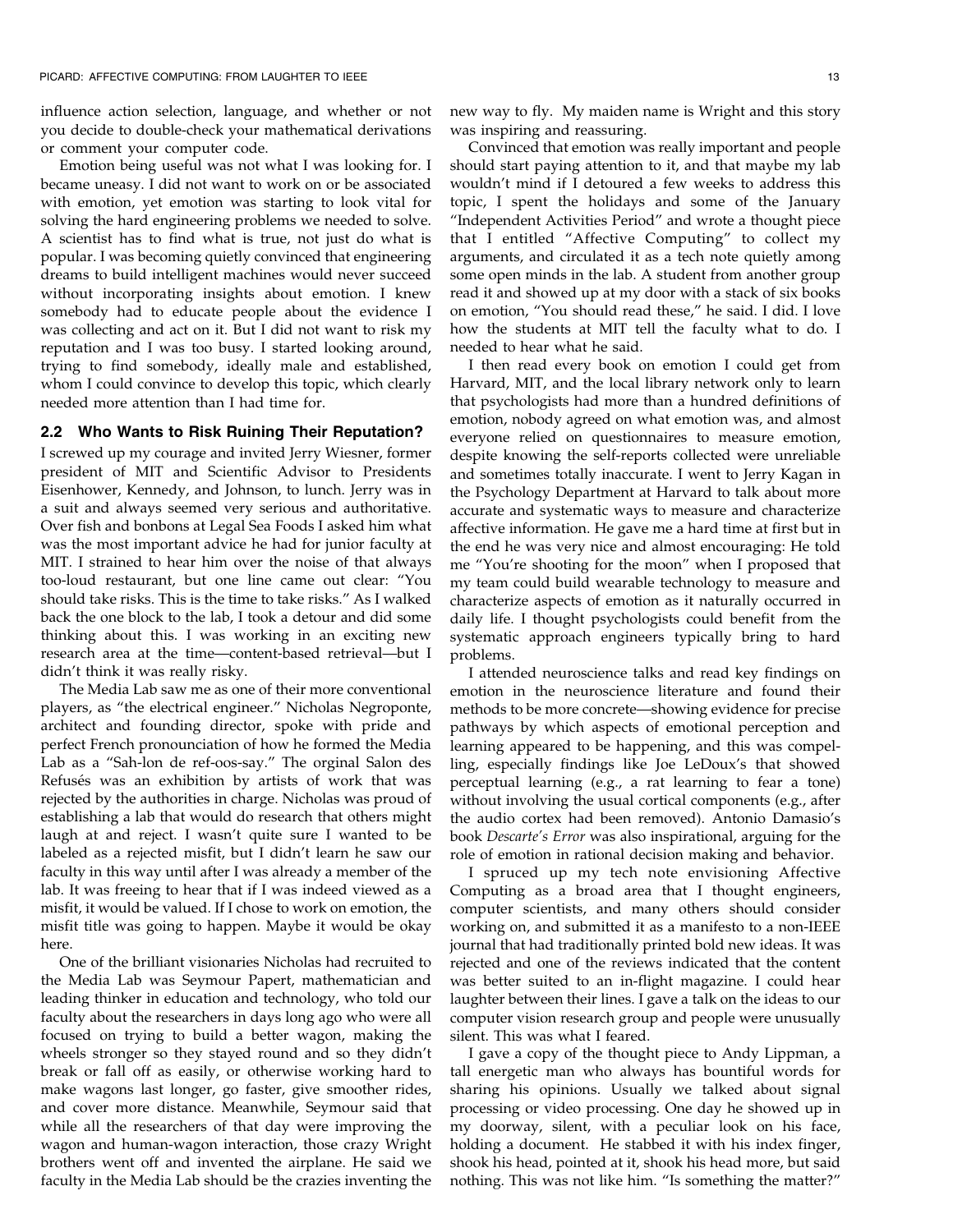influence action selection, language, and whether or not you decide to double-check your mathematical derivations or comment your computer code.

Emotion being useful was not what I was looking for. I became uneasy. I did not want to work on or be associated with emotion, yet emotion was starting to look vital for solving the hard engineering problems we needed to solve. A scientist has to find what is true, not just do what is popular. I was becoming quietly convinced that engineering dreams to build intelligent machines would never succeed without incorporating insights about emotion. I knew somebody had to educate people about the evidence I was collecting and act on it. But I did not want to risk my reputation and I was too busy. I started looking around, trying to find somebody, ideally male and established, whom I could convince to develop this topic, which clearly needed more attention than I had time for.

#### 2.2 Who Wants to Risk Ruining Their Reputation?

I screwed up my courage and invited Jerry Wiesner, former president of MIT and Scientific Advisor to Presidents Eisenhower, Kennedy, and Johnson, to lunch. Jerry was in a suit and always seemed very serious and authoritative. Over fish and bonbons at Legal Sea Foods I asked him what was the most important advice he had for junior faculty at MIT. I strained to hear him over the noise of that always too-loud restaurant, but one line came out clear: "You should take risks. This is the time to take risks." As I walked back the one block to the lab, I took a detour and did some thinking about this. I was working in an exciting new research area at the time—content-based retrieval—but I didn't think it was really risky.

The Media Lab saw me as one of their more conventional players, as "the electrical engineer." Nicholas Negroponte, architect and founding director, spoke with pride and perfect French pronounciation of how he formed the Media Lab as a "Sah-lon de ref-oos-say." The orginal Salon des Refusés was an exhibition by artists of work that was rejected by the authorities in charge. Nicholas was proud of establishing a lab that would do research that others might laugh at and reject. I wasn't quite sure I wanted to be labeled as a rejected misfit, but I didn't learn he saw our faculty in this way until after I was already a member of the lab. It was freeing to hear that if I was indeed viewed as a misfit, it would be valued. If I chose to work on emotion, the misfit title was going to happen. Maybe it would be okay here.

One of the brilliant visionaries Nicholas had recruited to the Media Lab was Seymour Papert, mathematician and leading thinker in education and technology, who told our faculty about the researchers in days long ago who were all focused on trying to build a better wagon, making the wheels stronger so they stayed round and so they didn't break or fall off as easily, or otherwise working hard to make wagons last longer, go faster, give smoother rides, and cover more distance. Meanwhile, Seymour said that while all the researchers of that day were improving the wagon and human-wagon interaction, those crazy Wright brothers went off and invented the airplane. He said we faculty in the Media Lab should be the crazies inventing the

new way to fly. My maiden name is Wright and this story was inspiring and reassuring.

Convinced that emotion was really important and people should start paying attention to it, and that maybe my lab wouldn't mind if I detoured a few weeks to address this topic, I spent the holidays and some of the January "Independent Activities Period" and wrote a thought piece that I entitled "Affective Computing" to collect my arguments, and circulated it as a tech note quietly among some open minds in the lab. A student from another group read it and showed up at my door with a stack of six books on emotion, "You should read these," he said. I did. I love how the students at MIT tell the faculty what to do. I needed to hear what he said.

I then read every book on emotion I could get from Harvard, MIT, and the local library network only to learn that psychologists had more than a hundred definitions of emotion, nobody agreed on what emotion was, and almost everyone relied on questionnaires to measure emotion, despite knowing the self-reports collected were unreliable and sometimes totally inaccurate. I went to Jerry Kagan in the Psychology Department at Harvard to talk about more accurate and systematic ways to measure and characterize affective information. He gave me a hard time at first but in the end he was very nice and almost encouraging: He told me "You're shooting for the moon" when I proposed that my team could build wearable technology to measure and characterize aspects of emotion as it naturally occurred in daily life. I thought psychologists could benefit from the systematic approach engineers typically bring to hard problems.

I attended neuroscience talks and read key findings on emotion in the neuroscience literature and found their methods to be more concrete—showing evidence for precise pathways by which aspects of emotional perception and learning appeared to be happening, and this was compelling, especially findings like Joe LeDoux's that showed perceptual learning (e.g., a rat learning to fear a tone) without involving the usual cortical components (e.g., after the audio cortex had been removed). Antonio Damasio's book Descarte's Error was also inspirational, arguing for the role of emotion in rational decision making and behavior.

I spruced up my tech note envisioning Affective Computing as a broad area that I thought engineers, computer scientists, and many others should consider working on, and submitted it as a manifesto to a non-IEEE journal that had traditionally printed bold new ideas. It was rejected and one of the reviews indicated that the content was better suited to an in-flight magazine. I could hear laughter between their lines. I gave a talk on the ideas to our computer vision research group and people were unusually silent. This was what I feared.

I gave a copy of the thought piece to Andy Lippman, a tall energetic man who always has bountiful words for sharing his opinions. Usually we talked about signal processing or video processing. One day he showed up in my doorway, silent, with a peculiar look on his face, holding a document. He stabbed it with his index finger, shook his head, pointed at it, shook his head more, but said nothing. This was not like him. "Is something the matter?"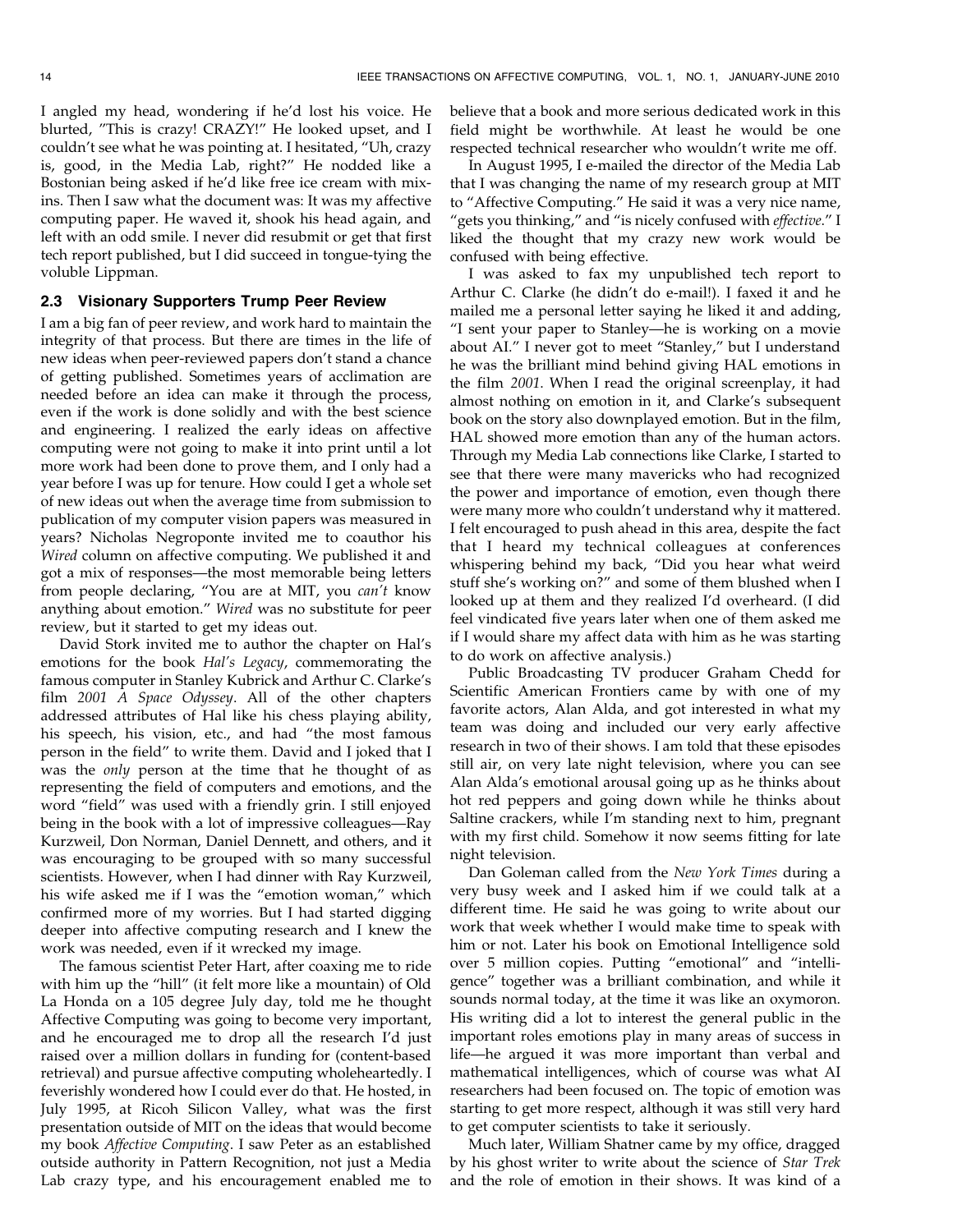I angled my head, wondering if he'd lost his voice. He blurted, "This is crazy! CRAZY!" He looked upset, and I couldn't see what he was pointing at. I hesitated, "Uh, crazy is, good, in the Media Lab, right?" He nodded like a Bostonian being asked if he'd like free ice cream with mixins. Then I saw what the document was: It was my affective computing paper. He waved it, shook his head again, and left with an odd smile. I never did resubmit or get that first tech report published, but I did succeed in tongue-tying the voluble Lippman.

#### 2.3 Visionary Supporters Trump Peer Review

I am a big fan of peer review, and work hard to maintain the integrity of that process. But there are times in the life of new ideas when peer-reviewed papers don't stand a chance of getting published. Sometimes years of acclimation are needed before an idea can make it through the process, even if the work is done solidly and with the best science and engineering. I realized the early ideas on affective computing were not going to make it into print until a lot more work had been done to prove them, and I only had a year before I was up for tenure. How could I get a whole set of new ideas out when the average time from submission to publication of my computer vision papers was measured in years? Nicholas Negroponte invited me to coauthor his Wired column on affective computing. We published it and got a mix of responses—the most memorable being letters from people declaring, "You are at MIT, you can't know anything about emotion." Wired was no substitute for peer review, but it started to get my ideas out.

David Stork invited me to author the chapter on Hal's emotions for the book Hal's Legacy, commemorating the famous computer in Stanley Kubrick and Arthur C. Clarke's film 2001 A Space Odyssey. All of the other chapters addressed attributes of Hal like his chess playing ability, his speech, his vision, etc., and had "the most famous person in the field" to write them. David and I joked that I was the only person at the time that he thought of as representing the field of computers and emotions, and the word "field" was used with a friendly grin. I still enjoyed being in the book with a lot of impressive colleagues—Ray Kurzweil, Don Norman, Daniel Dennett, and others, and it was encouraging to be grouped with so many successful scientists. However, when I had dinner with Ray Kurzweil, his wife asked me if I was the "emotion woman," which confirmed more of my worries. But I had started digging deeper into affective computing research and I knew the work was needed, even if it wrecked my image.

The famous scientist Peter Hart, after coaxing me to ride with him up the "hill" (it felt more like a mountain) of Old La Honda on a 105 degree July day, told me he thought Affective Computing was going to become very important, and he encouraged me to drop all the research I'd just raised over a million dollars in funding for (content-based retrieval) and pursue affective computing wholeheartedly. I feverishly wondered how I could ever do that. He hosted, in July 1995, at Ricoh Silicon Valley, what was the first presentation outside of MIT on the ideas that would become my book Affective Computing. I saw Peter as an established outside authority in Pattern Recognition, not just a Media Lab crazy type, and his encouragement enabled me to

believe that a book and more serious dedicated work in this field might be worthwhile. At least he would be one respected technical researcher who wouldn't write me off.

In August 1995, I e-mailed the director of the Media Lab that I was changing the name of my research group at MIT to "Affective Computing." He said it was a very nice name, "gets you thinking," and "is nicely confused with effective." I liked the thought that my crazy new work would be confused with being effective.

I was asked to fax my unpublished tech report to Arthur C. Clarke (he didn't do e-mail!). I faxed it and he mailed me a personal letter saying he liked it and adding, "I sent your paper to Stanley—he is working on a movie about AI." I never got to meet "Stanley," but I understand he was the brilliant mind behind giving HAL emotions in the film 2001. When I read the original screenplay, it had almost nothing on emotion in it, and Clarke's subsequent book on the story also downplayed emotion. But in the film, HAL showed more emotion than any of the human actors. Through my Media Lab connections like Clarke, I started to see that there were many mavericks who had recognized the power and importance of emotion, even though there were many more who couldn't understand why it mattered. I felt encouraged to push ahead in this area, despite the fact that I heard my technical colleagues at conferences whispering behind my back, "Did you hear what weird stuff she's working on?" and some of them blushed when I looked up at them and they realized I'd overheard. (I did feel vindicated five years later when one of them asked me if I would share my affect data with him as he was starting to do work on affective analysis.)

Public Broadcasting TV producer Graham Chedd for Scientific American Frontiers came by with one of my favorite actors, Alan Alda, and got interested in what my team was doing and included our very early affective research in two of their shows. I am told that these episodes still air, on very late night television, where you can see Alan Alda's emotional arousal going up as he thinks about hot red peppers and going down while he thinks about Saltine crackers, while I'm standing next to him, pregnant with my first child. Somehow it now seems fitting for late night television.

Dan Goleman called from the New York Times during a very busy week and I asked him if we could talk at a different time. He said he was going to write about our work that week whether I would make time to speak with him or not. Later his book on Emotional Intelligence sold over 5 million copies. Putting "emotional" and "intelligence" together was a brilliant combination, and while it sounds normal today, at the time it was like an oxymoron. His writing did a lot to interest the general public in the important roles emotions play in many areas of success in life—he argued it was more important than verbal and mathematical intelligences, which of course was what AI researchers had been focused on. The topic of emotion was starting to get more respect, although it was still very hard to get computer scientists to take it seriously.

Much later, William Shatner came by my office, dragged by his ghost writer to write about the science of Star Trek and the role of emotion in their shows. It was kind of a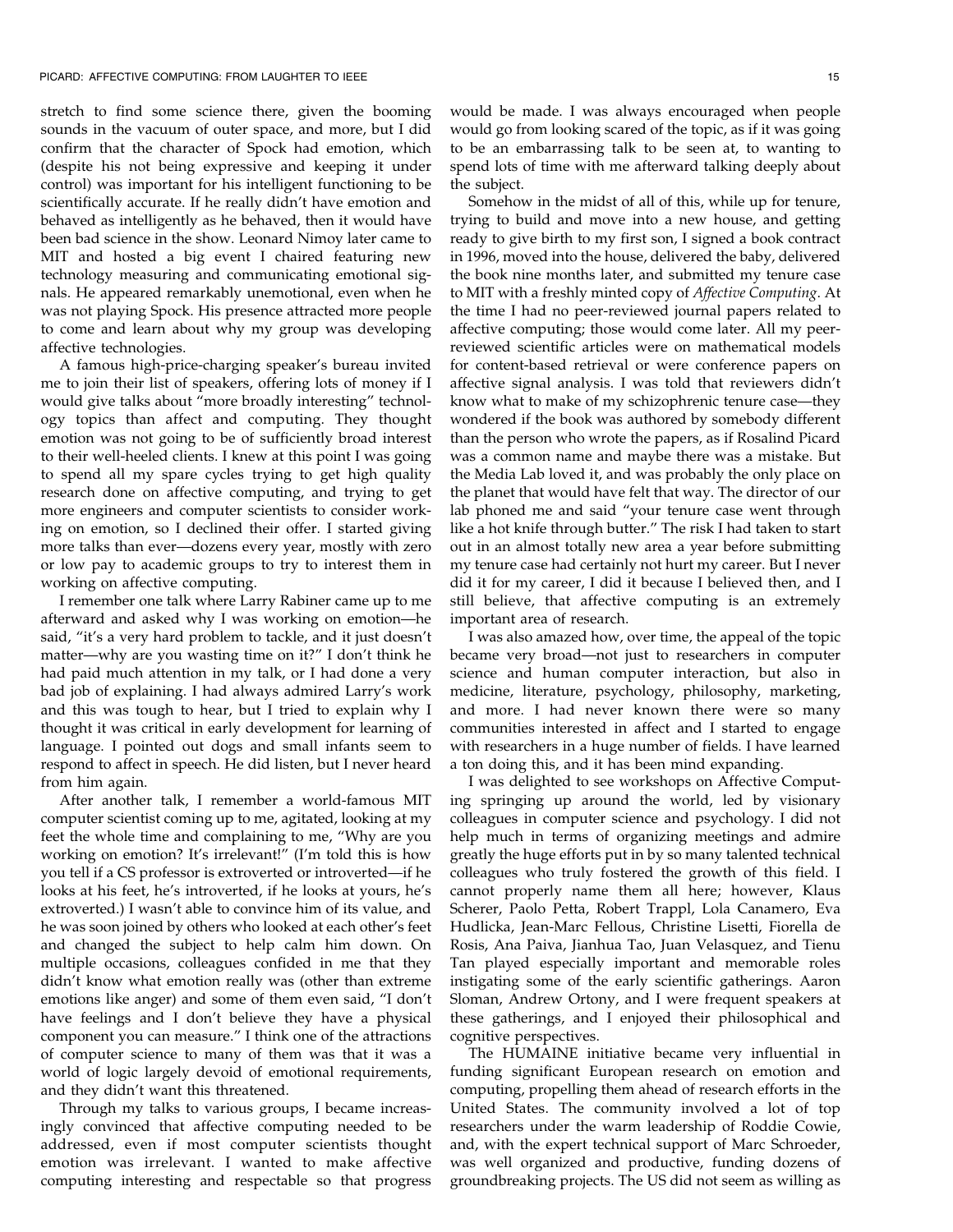stretch to find some science there, given the booming sounds in the vacuum of outer space, and more, but I did confirm that the character of Spock had emotion, which (despite his not being expressive and keeping it under control) was important for his intelligent functioning to be scientifically accurate. If he really didn't have emotion and behaved as intelligently as he behaved, then it would have been bad science in the show. Leonard Nimoy later came to MIT and hosted a big event I chaired featuring new technology measuring and communicating emotional signals. He appeared remarkably unemotional, even when he was not playing Spock. His presence attracted more people to come and learn about why my group was developing affective technologies.

A famous high-price-charging speaker's bureau invited me to join their list of speakers, offering lots of money if I would give talks about "more broadly interesting" technology topics than affect and computing. They thought emotion was not going to be of sufficiently broad interest to their well-heeled clients. I knew at this point I was going to spend all my spare cycles trying to get high quality research done on affective computing, and trying to get more engineers and computer scientists to consider working on emotion, so I declined their offer. I started giving more talks than ever—dozens every year, mostly with zero or low pay to academic groups to try to interest them in working on affective computing.

I remember one talk where Larry Rabiner came up to me afterward and asked why I was working on emotion—he said, "it's a very hard problem to tackle, and it just doesn't matter—why are you wasting time on it?" I don't think he had paid much attention in my talk, or I had done a very bad job of explaining. I had always admired Larry's work and this was tough to hear, but I tried to explain why I thought it was critical in early development for learning of language. I pointed out dogs and small infants seem to respond to affect in speech. He did listen, but I never heard from him again.

After another talk, I remember a world-famous MIT computer scientist coming up to me, agitated, looking at my feet the whole time and complaining to me, "Why are you working on emotion? It's irrelevant!" (I'm told this is how you tell if a CS professor is extroverted or introverted—if he looks at his feet, he's introverted, if he looks at yours, he's extroverted.) I wasn't able to convince him of its value, and he was soon joined by others who looked at each other's feet and changed the subject to help calm him down. On multiple occasions, colleagues confided in me that they didn't know what emotion really was (other than extreme emotions like anger) and some of them even said, "I don't have feelings and I don't believe they have a physical component you can measure." I think one of the attractions of computer science to many of them was that it was a world of logic largely devoid of emotional requirements, and they didn't want this threatened.

Through my talks to various groups, I became increasingly convinced that affective computing needed to be addressed, even if most computer scientists thought emotion was irrelevant. I wanted to make affective computing interesting and respectable so that progress would be made. I was always encouraged when people would go from looking scared of the topic, as if it was going to be an embarrassing talk to be seen at, to wanting to spend lots of time with me afterward talking deeply about the subject.

Somehow in the midst of all of this, while up for tenure, trying to build and move into a new house, and getting ready to give birth to my first son, I signed a book contract in 1996, moved into the house, delivered the baby, delivered the book nine months later, and submitted my tenure case to MIT with a freshly minted copy of Affective Computing. At the time I had no peer-reviewed journal papers related to affective computing; those would come later. All my peerreviewed scientific articles were on mathematical models for content-based retrieval or were conference papers on affective signal analysis. I was told that reviewers didn't know what to make of my schizophrenic tenure case—they wondered if the book was authored by somebody different than the person who wrote the papers, as if Rosalind Picard was a common name and maybe there was a mistake. But the Media Lab loved it, and was probably the only place on the planet that would have felt that way. The director of our lab phoned me and said "your tenure case went through like a hot knife through butter." The risk I had taken to start out in an almost totally new area a year before submitting my tenure case had certainly not hurt my career. But I never did it for my career, I did it because I believed then, and I still believe, that affective computing is an extremely important area of research.

I was also amazed how, over time, the appeal of the topic became very broad—not just to researchers in computer science and human computer interaction, but also in medicine, literature, psychology, philosophy, marketing, and more. I had never known there were so many communities interested in affect and I started to engage with researchers in a huge number of fields. I have learned a ton doing this, and it has been mind expanding.

I was delighted to see workshops on Affective Computing springing up around the world, led by visionary colleagues in computer science and psychology. I did not help much in terms of organizing meetings and admire greatly the huge efforts put in by so many talented technical colleagues who truly fostered the growth of this field. I cannot properly name them all here; however, Klaus Scherer, Paolo Petta, Robert Trappl, Lola Canamero, Eva Hudlicka, Jean-Marc Fellous, Christine Lisetti, Fiorella de Rosis, Ana Paiva, Jianhua Tao, Juan Velasquez, and Tienu Tan played especially important and memorable roles instigating some of the early scientific gatherings. Aaron Sloman, Andrew Ortony, and I were frequent speakers at these gatherings, and I enjoyed their philosophical and cognitive perspectives.

The HUMAINE initiative became very influential in funding significant European research on emotion and computing, propelling them ahead of research efforts in the United States. The community involved a lot of top researchers under the warm leadership of Roddie Cowie, and, with the expert technical support of Marc Schroeder, was well organized and productive, funding dozens of groundbreaking projects. The US did not seem as willing as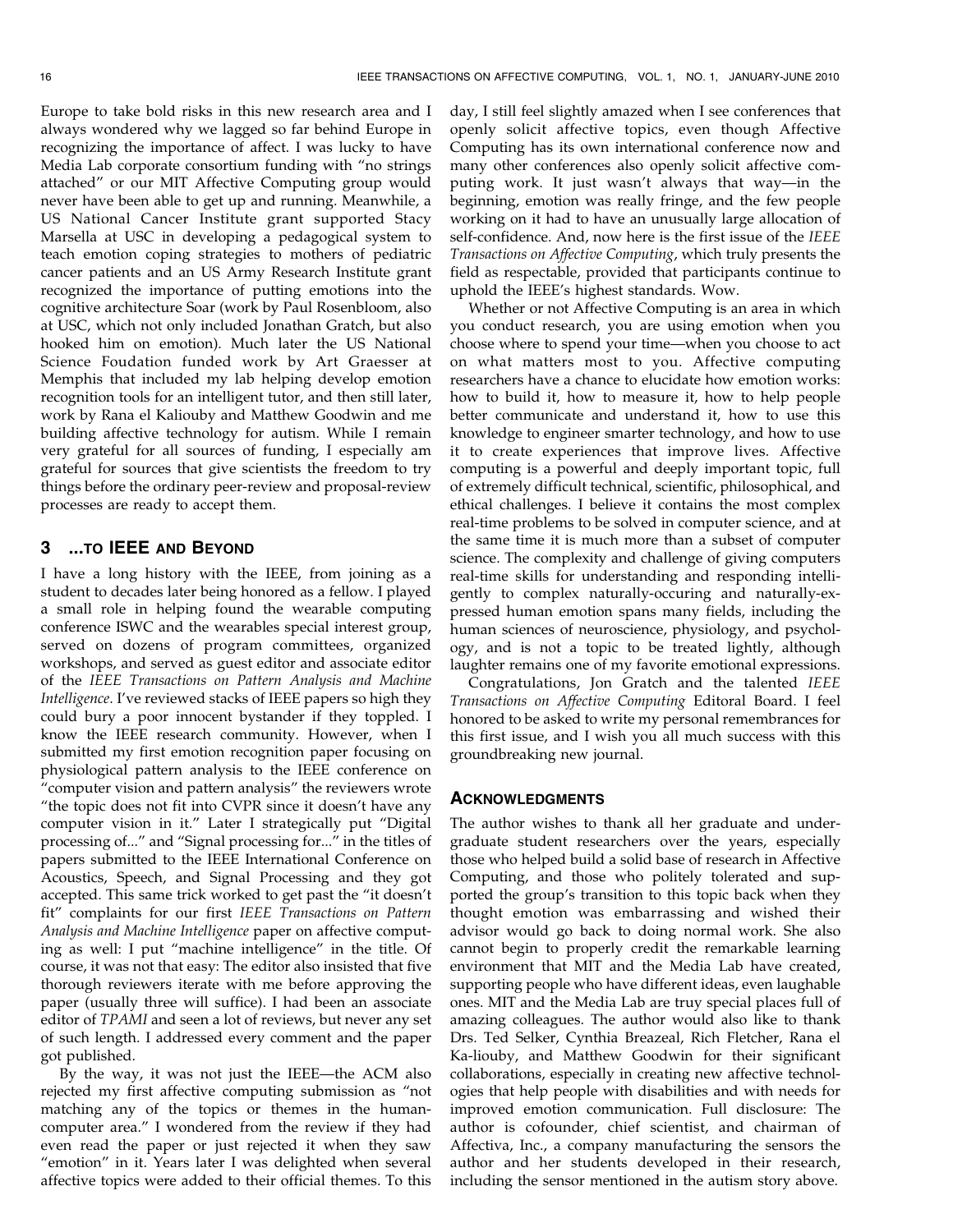Europe to take bold risks in this new research area and I always wondered why we lagged so far behind Europe in recognizing the importance of affect. I was lucky to have Media Lab corporate consortium funding with "no strings attached" or our MIT Affective Computing group would never have been able to get up and running. Meanwhile, a US National Cancer Institute grant supported Stacy Marsella at USC in developing a pedagogical system to teach emotion coping strategies to mothers of pediatric cancer patients and an US Army Research Institute grant recognized the importance of putting emotions into the cognitive architecture Soar (work by Paul Rosenbloom, also at USC, which not only included Jonathan Gratch, but also hooked him on emotion). Much later the US National Science Foudation funded work by Art Graesser at Memphis that included my lab helping develop emotion recognition tools for an intelligent tutor, and then still later, work by Rana el Kaliouby and Matthew Goodwin and me building affective technology for autism. While I remain very grateful for all sources of funding, I especially am grateful for sources that give scientists the freedom to try things before the ordinary peer-review and proposal-review processes are ready to accept them.

# 3 ...TO IEEE AND BEYOND

I have a long history with the IEEE, from joining as a student to decades later being honored as a fellow. I played a small role in helping found the wearable computing conference ISWC and the wearables special interest group, served on dozens of program committees, organized workshops, and served as guest editor and associate editor of the IEEE Transactions on Pattern Analysis and Machine Intelligence. I've reviewed stacks of IEEE papers so high they could bury a poor innocent bystander if they toppled. I know the IEEE research community. However, when I submitted my first emotion recognition paper focusing on physiological pattern analysis to the IEEE conference on "computer vision and pattern analysis" the reviewers wrote "the topic does not fit into CVPR since it doesn't have any computer vision in it." Later I strategically put "Digital processing of..." and "Signal processing for..." in the titles of papers submitted to the IEEE International Conference on Acoustics, Speech, and Signal Processing and they got accepted. This same trick worked to get past the "it doesn't fit" complaints for our first IEEE Transactions on Pattern Analysis and Machine Intelligence paper on affective computing as well: I put "machine intelligence" in the title. Of course, it was not that easy: The editor also insisted that five thorough reviewers iterate with me before approving the paper (usually three will suffice). I had been an associate editor of TPAMI and seen a lot of reviews, but never any set of such length. I addressed every comment and the paper got published.

By the way, it was not just the IEEE—the ACM also rejected my first affective computing submission as "not matching any of the topics or themes in the humancomputer area." I wondered from the review if they had even read the paper or just rejected it when they saw "emotion" in it. Years later I was delighted when several affective topics were added to their official themes. To this

day, I still feel slightly amazed when I see conferences that openly solicit affective topics, even though Affective Computing has its own international conference now and many other conferences also openly solicit affective computing work. It just wasn't always that way—in the beginning, emotion was really fringe, and the few people working on it had to have an unusually large allocation of self-confidence. And, now here is the first issue of the IEEE Transactions on Affective Computing, which truly presents the field as respectable, provided that participants continue to uphold the IEEE's highest standards. Wow.

Whether or not Affective Computing is an area in which you conduct research, you are using emotion when you choose where to spend your time—when you choose to act on what matters most to you. Affective computing researchers have a chance to elucidate how emotion works: how to build it, how to measure it, how to help people better communicate and understand it, how to use this knowledge to engineer smarter technology, and how to use it to create experiences that improve lives. Affective computing is a powerful and deeply important topic, full of extremely difficult technical, scientific, philosophical, and ethical challenges. I believe it contains the most complex real-time problems to be solved in computer science, and at the same time it is much more than a subset of computer science. The complexity and challenge of giving computers real-time skills for understanding and responding intelligently to complex naturally-occuring and naturally-expressed human emotion spans many fields, including the human sciences of neuroscience, physiology, and psychology, and is not a topic to be treated lightly, although laughter remains one of my favorite emotional expressions.

Congratulations, Jon Gratch and the talented IEEE Transactions on Affective Computing Editoral Board. I feel honored to be asked to write my personal remembrances for this first issue, and I wish you all much success with this groundbreaking new journal.

#### **ACKNOWLEDGMENTS**

The author wishes to thank all her graduate and undergraduate student researchers over the years, especially those who helped build a solid base of research in Affective Computing, and those who politely tolerated and supported the group's transition to this topic back when they thought emotion was embarrassing and wished their advisor would go back to doing normal work. She also cannot begin to properly credit the remarkable learning environment that MIT and the Media Lab have created, supporting people who have different ideas, even laughable ones. MIT and the Media Lab are truy special places full of amazing colleagues. The author would also like to thank Drs. Ted Selker, Cynthia Breazeal, Rich Fletcher, Rana el Ka-liouby, and Matthew Goodwin for their significant collaborations, especially in creating new affective technologies that help people with disabilities and with needs for improved emotion communication. Full disclosure: The author is cofounder, chief scientist, and chairman of Affectiva, Inc., a company manufacturing the sensors the author and her students developed in their research, including the sensor mentioned in the autism story above.